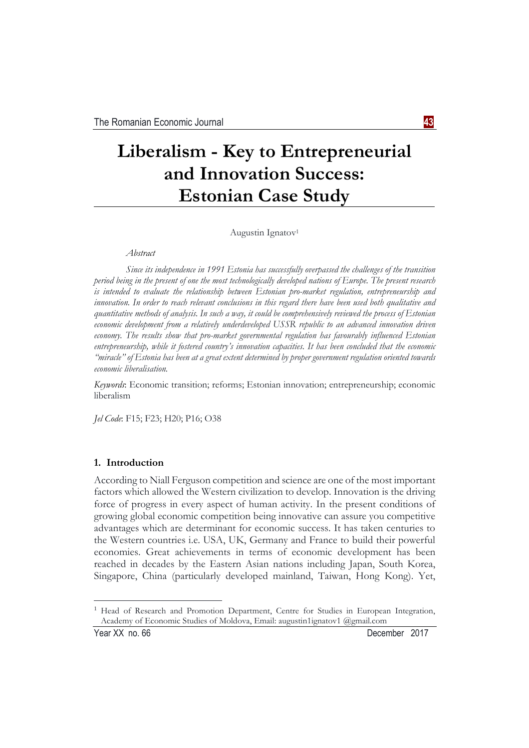# **Liberalism - Key to Entrepreneurial and Innovation Success: Estonian Case Study**

Augustin Ignatov<sup>1</sup>

*Abstract* 

*Since its independence in 1991 Estonia has successfully overpassed the challenges of the transition period being in the present of one the most technologically developed nations of Europe. The present research is intended to evaluate the relationship between Estonian pro-market regulation, entrepreneurship and innovation. In order to reach relevant conclusions in this regard there have been used both qualitative and quantitative methods of analysis. In such a way, it could be comprehensively reviewed the process of Estonian economic development from a relatively underdeveloped USSR republic to an advanced innovation driven economy. The results show that pro-market governmental regulation has favourably influenced Estonian entrepreneurship, while it fostered country's innovation capacities. It has been concluded that the economic "miracle" of Estonia has been at a great extent determined by proper government regulation oriented towards economic liberalisation.* 

*Keywords*: Economic transition; reforms; Estonian innovation; entrepreneurship; economic liberalism

*Jel Code*: F15; F23; H20; P16; O38

#### **1. Introduction**

According to Niall Ferguson competition and science are one of the most important factors which allowed the Western civilization to develop. Innovation is the driving force of progress in every aspect of human activity. In the present conditions of growing global economic competition being innovative can assure you competitive advantages which are determinant for economic success. It has taken centuries to the Western countries i.e. USA, UK, Germany and France to build their powerful economies. Great achievements in terms of economic development has been reached in decades by the Eastern Asian nations including Japan, South Korea, Singapore, China (particularly developed mainland, Taiwan, Hong Kong). Yet,

<u>.</u>

<sup>&</sup>lt;sup>1</sup> Head of Research and Promotion Department, Centre for Studies in European Integration, Academy of Economic Studies of Moldova, Email: augustin1ignatov1 @gmail.com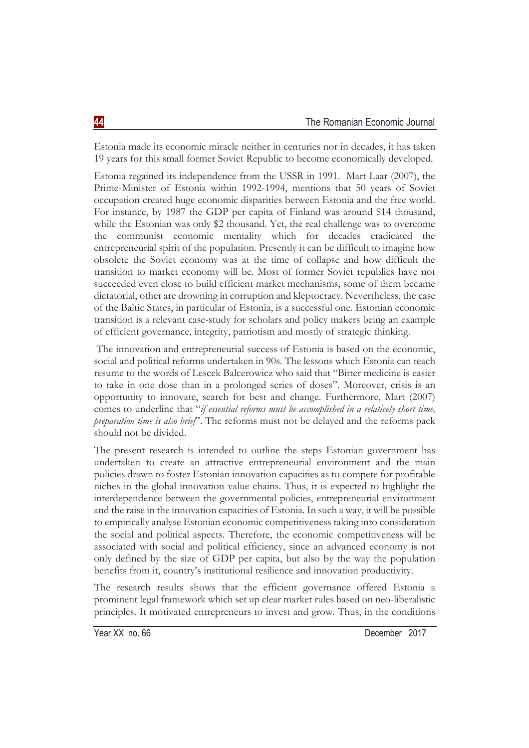Estonia made its economic miracle neither in centuries nor in decades, it has taken 19 years for this small former Soviet Republic to become economically developed.

Estonia regained its independence from the USSR in 1991. Mart Laar (2007), the Prime-Minister of Estonia within 1992-1994, mentions that 50 years of Soviet occupation created huge economic disparities between Estonia and the free world. For instance, by 1987 the GDP per capita of Finland was around \$14 thousand, while the Estonian was only \$2 thousand. Yet, the real challenge was to overcome the communist economic mentality which for decades eradicated the entrepreneurial spirit of the population. Presently it can be difficult to imagine how obsolete the Soviet economy was at the time of collapse and how difficult the transition to market economy will be. Most of former Soviet republics have not succeeded even close to build efficient market mechanisms, some of them became dictatorial, other are drowning in corruption and kleptocracy. Nevertheless, the case of the Baltic States, in particular of Estonia, is a successful one. Estonian economic transition is a relevant case-study for scholars and policy makers being an example of efficient governance, integrity, patriotism and mostly of strategic thinking.

 The innovation and entrepreneurial success of Estonia is based on the economic, social and political reforms undertaken in 90s. The lessons which Estonia can teach resume to the words of Lescek Balcerowicz who said that "Bitter medicine is easier to take in one dose than in a prolonged series of doses". Moreover, crisis is an opportunity to innovate, search for best and change. Furthermore, Mart (2007) comes to underline that "*if essential reforms must be accomplished in a relatively short time, preparation time is also brief*". The reforms must not be delayed and the reforms pack should not be divided.

The present research is intended to outline the steps Estonian government has undertaken to create an attractive entrepreneurial environment and the main policies drawn to foster Estonian innovation capacities as to compete for profitable niches in the global innovation value chains. Thus, it is expected to highlight the interdependence between the governmental policies, entrepreneurial environment and the raise in the innovation capacities of Estonia. In such a way, it will be possible to empirically analyse Estonian economic competitiveness taking into consideration the social and political aspects. Therefore, the economic competitiveness will be associated with social and political efficiency, since an advanced economy is not only defined by the size of GDP per capita, but also by the way the population benefits from it, country's institutional resilience and innovation productivity.

The research results shows that the efficient governance offered Estonia a prominent legal framework which set up clear market rules based on neo-liberalistic principles. It motivated entrepreneurs to invest and grow. Thus, in the conditions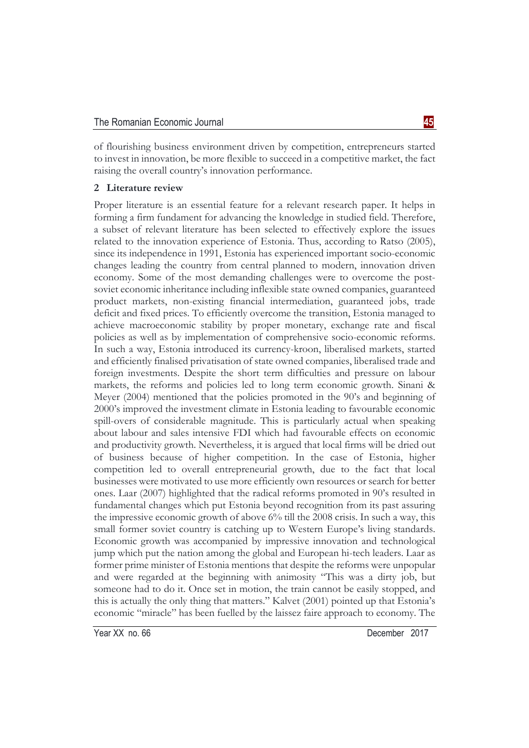of flourishing business environment driven by competition, entrepreneurs started to invest in innovation, be more flexible to succeed in a competitive market, the fact raising the overall country's innovation performance.

## **2 Literature review**

Proper literature is an essential feature for a relevant research paper. It helps in forming a firm fundament for advancing the knowledge in studied field. Therefore, a subset of relevant literature has been selected to effectively explore the issues related to the innovation experience of Estonia. Thus, according to Ratso (2005), since its independence in 1991, Estonia has experienced important socio-economic changes leading the country from central planned to modern, innovation driven economy. Some of the most demanding challenges were to overcome the postsoviet economic inheritance including inflexible state owned companies, guaranteed product markets, non-existing financial intermediation, guaranteed jobs, trade deficit and fixed prices. To efficiently overcome the transition, Estonia managed to achieve macroeconomic stability by proper monetary, exchange rate and fiscal policies as well as by implementation of comprehensive socio-economic reforms. In such a way, Estonia introduced its currency-kroon, liberalised markets, started and efficiently finalised privatisation of state owned companies, liberalised trade and foreign investments. Despite the short term difficulties and pressure on labour markets, the reforms and policies led to long term economic growth. Sinani & Meyer (2004) mentioned that the policies promoted in the 90's and beginning of 2000's improved the investment climate in Estonia leading to favourable economic spill-overs of considerable magnitude. This is particularly actual when speaking about labour and sales intensive FDI which had favourable effects on economic and productivity growth. Nevertheless, it is argued that local firms will be dried out of business because of higher competition. In the case of Estonia, higher competition led to overall entrepreneurial growth, due to the fact that local businesses were motivated to use more efficiently own resources or search for better ones. Laar (2007) highlighted that the radical reforms promoted in 90's resulted in fundamental changes which put Estonia beyond recognition from its past assuring the impressive economic growth of above 6% till the 2008 crisis. In such a way, this small former soviet country is catching up to Western Europe's living standards. Economic growth was accompanied by impressive innovation and technological jump which put the nation among the global and European hi-tech leaders. Laar as former prime minister of Estonia mentions that despite the reforms were unpopular and were regarded at the beginning with animosity "This was a dirty job, but someone had to do it. Once set in motion, the train cannot be easily stopped, and this is actually the only thing that matters." Kalvet (2001) pointed up that Estonia's economic "miracle" has been fuelled by the laissez faire approach to economy. The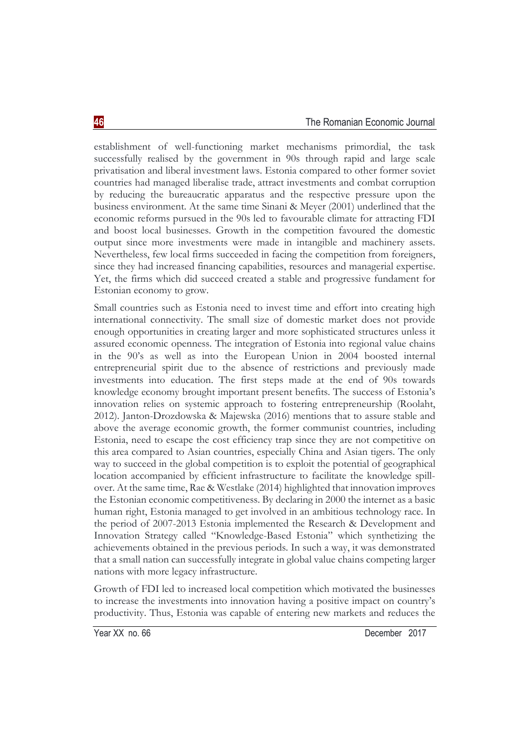establishment of well-functioning market mechanisms primordial, the task successfully realised by the government in 90s through rapid and large scale privatisation and liberal investment laws. Estonia compared to other former soviet countries had managed liberalise trade, attract investments and combat corruption by reducing the bureaucratic apparatus and the respective pressure upon the business environment. At the same time Sinani & Meyer (2001) underlined that the economic reforms pursued in the 90s led to favourable climate for attracting FDI and boost local businesses. Growth in the competition favoured the domestic output since more investments were made in intangible and machinery assets. Nevertheless, few local firms succeeded in facing the competition from foreigners, since they had increased financing capabilities, resources and managerial expertise. Yet, the firms which did succeed created a stable and progressive fundament for Estonian economy to grow.

Small countries such as Estonia need to invest time and effort into creating high international connectivity. The small size of domestic market does not provide enough opportunities in creating larger and more sophisticated structures unless it assured economic openness. The integration of Estonia into regional value chains in the 90's as well as into the European Union in 2004 boosted internal entrepreneurial spirit due to the absence of restrictions and previously made investments into education. The first steps made at the end of 90s towards knowledge economy brought important present benefits. The success of Estonia's innovation relies on systemic approach to fostering entrepreneurship (Roolaht, 2012). Janton-Drozdowska & Majewska (2016) mentions that to assure stable and above the average economic growth, the former communist countries, including Estonia, need to escape the cost efficiency trap since they are not competitive on this area compared to Asian countries, especially China and Asian tigers. The only way to succeed in the global competition is to exploit the potential of geographical location accompanied by efficient infrastructure to facilitate the knowledge spillover. At the same time, Rae & Westlake (2014) highlighted that innovation improves the Estonian economic competitiveness. By declaring in 2000 the internet as a basic human right, Estonia managed to get involved in an ambitious technology race. In the period of 2007-2013 Estonia implemented the Research & Development and Innovation Strategy called "Knowledge-Based Estonia" which synthetizing the achievements obtained in the previous periods. In such a way, it was demonstrated that a small nation can successfully integrate in global value chains competing larger nations with more legacy infrastructure.

Growth of FDI led to increased local competition which motivated the businesses to increase the investments into innovation having a positive impact on country's productivity. Thus, Estonia was capable of entering new markets and reduces the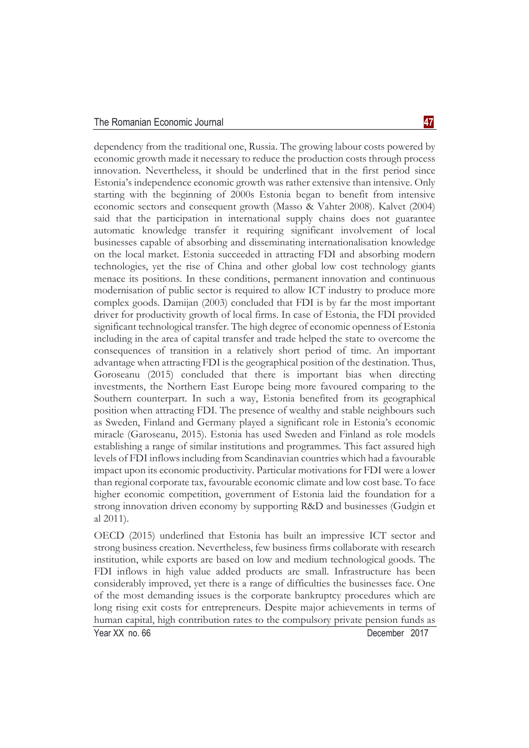#### The Romanian Economic Journal **47**

dependency from the traditional one, Russia. The growing labour costs powered by economic growth made it necessary to reduce the production costs through process innovation. Nevertheless, it should be underlined that in the first period since Estonia's independence economic growth was rather extensive than intensive. Only starting with the beginning of 2000s Estonia began to benefit from intensive economic sectors and consequent growth (Masso & Vahter 2008). Kalvet (2004) said that the participation in international supply chains does not guarantee automatic knowledge transfer it requiring significant involvement of local businesses capable of absorbing and disseminating internationalisation knowledge on the local market. Estonia succeeded in attracting FDI and absorbing modern technologies, yet the rise of China and other global low cost technology giants menace its positions. In these conditions, permanent innovation and continuous modernisation of public sector is required to allow ICT industry to produce more complex goods. Damijan (2003) concluded that FDI is by far the most important driver for productivity growth of local firms. In case of Estonia, the FDI provided significant technological transfer. The high degree of economic openness of Estonia including in the area of capital transfer and trade helped the state to overcome the consequences of transition in a relatively short period of time. An important advantage when attracting FDI is the geographical position of the destination. Thus, Goroseanu (2015) concluded that there is important bias when directing investments, the Northern East Europe being more favoured comparing to the Southern counterpart. In such a way, Estonia benefited from its geographical position when attracting FDI. The presence of wealthy and stable neighbours such as Sweden, Finland and Germany played a significant role in Estonia's economic miracle (Garoseanu, 2015). Estonia has used Sweden and Finland as role models establishing a range of similar institutions and programmes. This fact assured high levels of FDI inflows including from Scandinavian countries which had a favourable impact upon its economic productivity. Particular motivations for FDI were a lower than regional corporate tax, favourable economic climate and low cost base. To face higher economic competition, government of Estonia laid the foundation for a strong innovation driven economy by supporting R&D and businesses (Gudgin et al 2011).

OECD (2015) underlined that Estonia has built an impressive ICT sector and strong business creation. Nevertheless, few business firms collaborate with research institution, while exports are based on low and medium technological goods. The FDI inflows in high value added products are small. Infrastructure has been considerably improved, yet there is a range of difficulties the businesses face. One of the most demanding issues is the corporate bankruptcy procedures which are long rising exit costs for entrepreneurs. Despite major achievements in terms of human capital, high contribution rates to the compulsory private pension funds as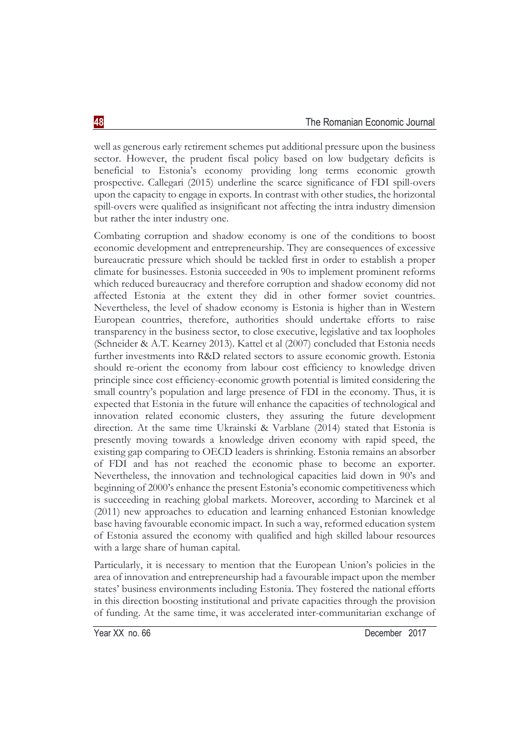well as generous early retirement schemes put additional pressure upon the business sector. However, the prudent fiscal policy based on low budgetary deficits is beneficial to Estonia's economy providing long terms economic growth prospective. Callegari (2015) underline the scarce significance of FDI spill-overs upon the capacity to engage in exports. In contrast with other studies, the horizontal spill-overs were qualified as insignificant not affecting the intra industry dimension but rather the inter industry one.

Combating corruption and shadow economy is one of the conditions to boost economic development and entrepreneurship. They are consequences of excessive bureaucratic pressure which should be tackled first in order to establish a proper climate for businesses. Estonia succeeded in 90s to implement prominent reforms which reduced bureaucracy and therefore corruption and shadow economy did not affected Estonia at the extent they did in other former soviet countries. Nevertheless, the level of shadow economy is Estonia is higher than in Western European countries, therefore, authorities should undertake efforts to raise transparency in the business sector, to close executive, legislative and tax loopholes (Schneider & A.T. Kearney 2013). Kattel et al (2007) concluded that Estonia needs further investments into R&D related sectors to assure economic growth. Estonia should re-orient the economy from labour cost efficiency to knowledge driven principle since cost efficiency-economic growth potential is limited considering the small country's population and large presence of FDI in the economy. Thus, it is expected that Estonia in the future will enhance the capacities of technological and innovation related economic clusters, they assuring the future development direction. At the same time Ukrainski & Varblane (2014) stated that Estonia is presently moving towards a knowledge driven economy with rapid speed, the existing gap comparing to OECD leaders is shrinking. Estonia remains an absorber of FDI and has not reached the economic phase to become an exporter. Nevertheless, the innovation and technological capacities laid down in 90's and beginning of 2000's enhance the present Estonia's economic competitiveness which is succeeding in reaching global markets. Moreover, according to Marcinek et al (2011) new approaches to education and learning enhanced Estonian knowledge base having favourable economic impact. In such a way, reformed education system of Estonia assured the economy with qualified and high skilled labour resources with a large share of human capital.

Particularly, it is necessary to mention that the European Union's policies in the area of innovation and entrepreneurship had a favourable impact upon the member states' business environments including Estonia. They fostered the national efforts in this direction boosting institutional and private capacities through the provision of funding. At the same time, it was accelerated inter-communitarian exchange of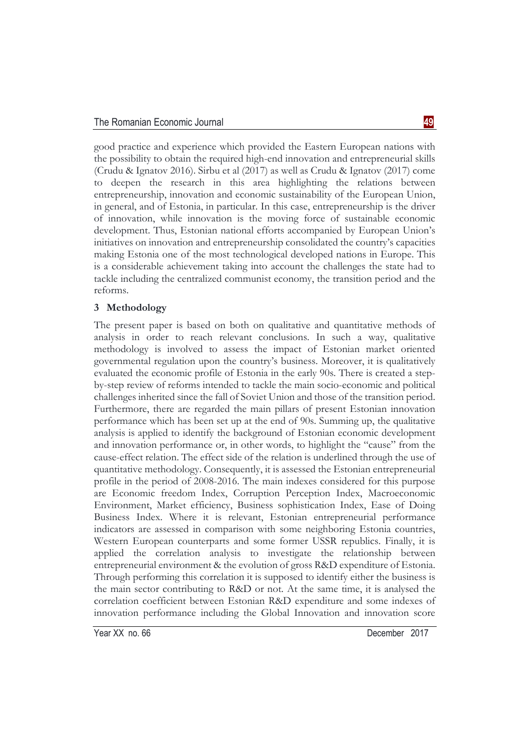good practice and experience which provided the Eastern European nations with the possibility to obtain the required high-end innovation and entrepreneurial skills (Crudu & Ignatov 2016). Sirbu et al (2017) as well as Crudu & Ignatov (2017) come to deepen the research in this area highlighting the relations between entrepreneurship, innovation and economic sustainability of the European Union, in general, and of Estonia, in particular. In this case, entrepreneurship is the driver of innovation, while innovation is the moving force of sustainable economic development. Thus, Estonian national efforts accompanied by European Union's initiatives on innovation and entrepreneurship consolidated the country's capacities making Estonia one of the most technological developed nations in Europe. This is a considerable achievement taking into account the challenges the state had to tackle including the centralized communist economy, the transition period and the reforms.

## **3 Methodology**

The present paper is based on both on qualitative and quantitative methods of analysis in order to reach relevant conclusions. In such a way, qualitative methodology is involved to assess the impact of Estonian market oriented governmental regulation upon the country's business. Moreover, it is qualitatively evaluated the economic profile of Estonia in the early 90s. There is created a stepby-step review of reforms intended to tackle the main socio-economic and political challenges inherited since the fall of Soviet Union and those of the transition period. Furthermore, there are regarded the main pillars of present Estonian innovation performance which has been set up at the end of 90s. Summing up, the qualitative analysis is applied to identify the background of Estonian economic development and innovation performance or, in other words, to highlight the "cause" from the cause-effect relation. The effect side of the relation is underlined through the use of quantitative methodology. Consequently, it is assessed the Estonian entrepreneurial profile in the period of 2008-2016. The main indexes considered for this purpose are Economic freedom Index, Corruption Perception Index, Macroeconomic Environment, Market efficiency, Business sophistication Index, Ease of Doing Business Index. Where it is relevant, Estonian entrepreneurial performance indicators are assessed in comparison with some neighboring Estonia countries, Western European counterparts and some former USSR republics. Finally, it is applied the correlation analysis to investigate the relationship between entrepreneurial environment & the evolution of gross R&D expenditure of Estonia. Through performing this correlation it is supposed to identify either the business is the main sector contributing to R&D or not. At the same time, it is analysed the correlation coefficient between Estonian R&D expenditure and some indexes of innovation performance including the Global Innovation and innovation score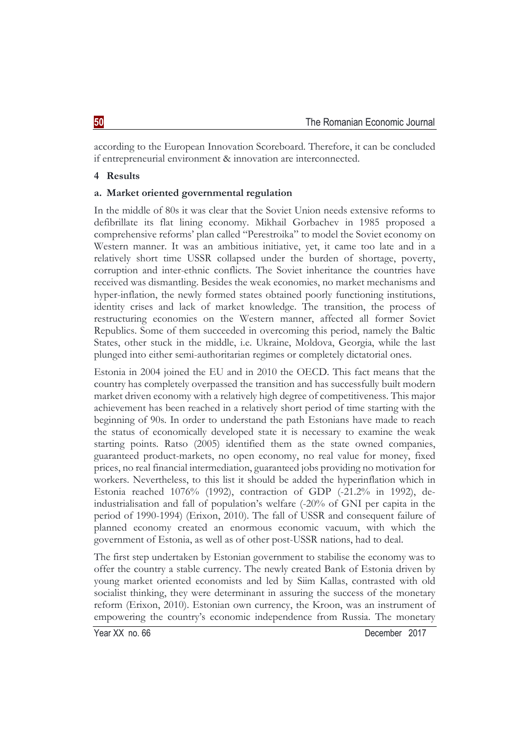according to the European Innovation Scoreboard. Therefore, it can be concluded if entrepreneurial environment & innovation are interconnected.

## **4 Results**

## **a. Market oriented governmental regulation**

In the middle of 80s it was clear that the Soviet Union needs extensive reforms to defibrillate its flat lining economy. Mikhail Gorbachev in 1985 proposed a comprehensive reforms' plan called "Perestroika" to model the Soviet economy on Western manner. It was an ambitious initiative, yet, it came too late and in a relatively short time USSR collapsed under the burden of shortage, poverty, corruption and inter-ethnic conflicts. The Soviet inheritance the countries have received was dismantling. Besides the weak economies, no market mechanisms and hyper-inflation, the newly formed states obtained poorly functioning institutions, identity crises and lack of market knowledge. The transition, the process of restructuring economies on the Western manner, affected all former Soviet Republics. Some of them succeeded in overcoming this period, namely the Baltic States, other stuck in the middle, i.e. Ukraine, Moldova, Georgia, while the last plunged into either semi-authoritarian regimes or completely dictatorial ones.

Estonia in 2004 joined the EU and in 2010 the OECD. This fact means that the country has completely overpassed the transition and has successfully built modern market driven economy with a relatively high degree of competitiveness. This major achievement has been reached in a relatively short period of time starting with the beginning of 90s. In order to understand the path Estonians have made to reach the status of economically developed state it is necessary to examine the weak starting points. Ratso (2005) identified them as the state owned companies, guaranteed product-markets, no open economy, no real value for money, fixed prices, no real financial intermediation, guaranteed jobs providing no motivation for workers. Nevertheless, to this list it should be added the hyperinflation which in Estonia reached 1076% (1992), contraction of GDP (-21.2% in 1992), deindustrialisation and fall of population's welfare (-20% of GNI per capita in the period of 1990-1994) (Erixon, 2010). The fall of USSR and consequent failure of planned economy created an enormous economic vacuum, with which the government of Estonia, as well as of other post-USSR nations, had to deal.

The first step undertaken by Estonian government to stabilise the economy was to offer the country a stable currency. The newly created Bank of Estonia driven by young market oriented economists and led by Siim Kallas, contrasted with old socialist thinking, they were determinant in assuring the success of the monetary reform (Erixon, 2010). Estonian own currency, the Kroon, was an instrument of empowering the country's economic independence from Russia. The monetary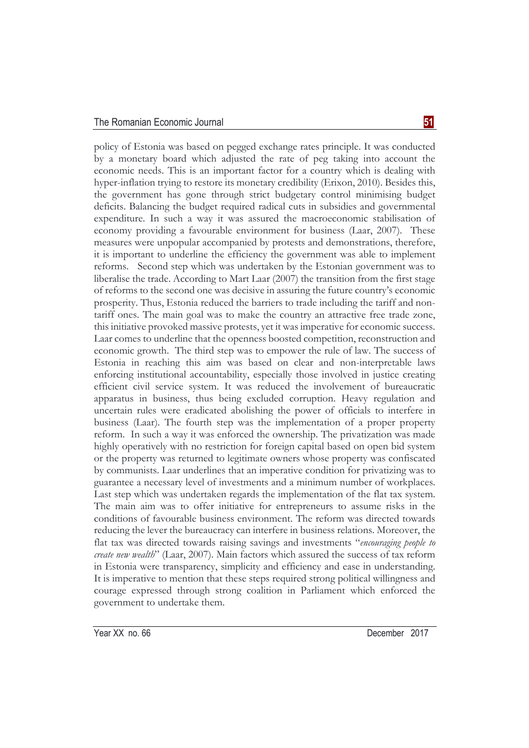### The Romanian Economic Journal **51**

policy of Estonia was based on pegged exchange rates principle. It was conducted by a monetary board which adjusted the rate of peg taking into account the economic needs. This is an important factor for a country which is dealing with hyper-inflation trying to restore its monetary credibility (Erixon, 2010). Besides this, the government has gone through strict budgetary control minimising budget deficits. Balancing the budget required radical cuts in subsidies and governmental expenditure. In such a way it was assured the macroeconomic stabilisation of economy providing a favourable environment for business (Laar, 2007). These measures were unpopular accompanied by protests and demonstrations, therefore, it is important to underline the efficiency the government was able to implement reforms. Second step which was undertaken by the Estonian government was to liberalise the trade. According to Mart Laar (2007) the transition from the first stage of reforms to the second one was decisive in assuring the future country's economic prosperity. Thus, Estonia reduced the barriers to trade including the tariff and nontariff ones. The main goal was to make the country an attractive free trade zone, this initiative provoked massive protests, yet it was imperative for economic success. Laar comes to underline that the openness boosted competition, reconstruction and economic growth. The third step was to empower the rule of law. The success of Estonia in reaching this aim was based on clear and non-interpretable laws enforcing institutional accountability, especially those involved in justice creating efficient civil service system. It was reduced the involvement of bureaucratic apparatus in business, thus being excluded corruption. Heavy regulation and uncertain rules were eradicated abolishing the power of officials to interfere in business (Laar). The fourth step was the implementation of a proper property reform. In such a way it was enforced the ownership. The privatization was made highly operatively with no restriction for foreign capital based on open bid system or the property was returned to legitimate owners whose property was confiscated by communists. Laar underlines that an imperative condition for privatizing was to guarantee a necessary level of investments and a minimum number of workplaces. Last step which was undertaken regards the implementation of the flat tax system. The main aim was to offer initiative for entrepreneurs to assume risks in the conditions of favourable business environment. The reform was directed towards reducing the lever the bureaucracy can interfere in business relations. Moreover, the flat tax was directed towards raising savings and investments "*encouraging people to create new wealth*" (Laar, 2007). Main factors which assured the success of tax reform in Estonia were transparency, simplicity and efficiency and ease in understanding. It is imperative to mention that these steps required strong political willingness and courage expressed through strong coalition in Parliament which enforced the government to undertake them.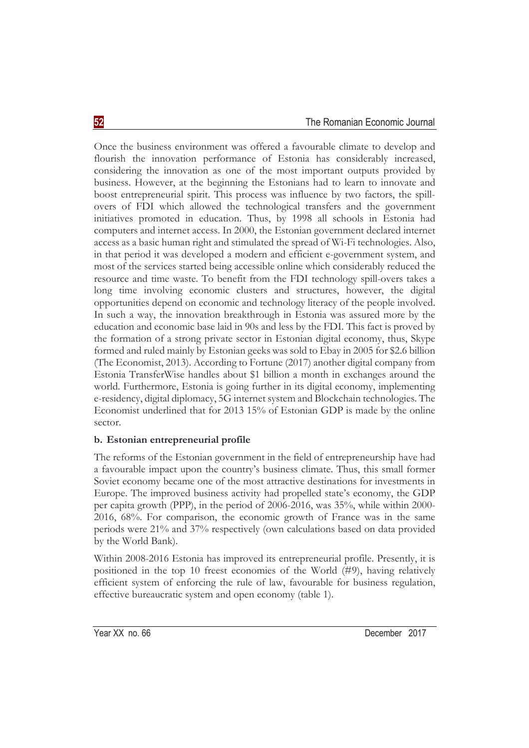Once the business environment was offered a favourable climate to develop and flourish the innovation performance of Estonia has considerably increased, considering the innovation as one of the most important outputs provided by business. However, at the beginning the Estonians had to learn to innovate and boost entrepreneurial spirit. This process was influence by two factors, the spillovers of FDI which allowed the technological transfers and the government initiatives promoted in education. Thus, by 1998 all schools in Estonia had computers and internet access. In 2000, the Estonian government declared internet access as a basic human right and stimulated the spread of Wi-Fi technologies. Also, in that period it was developed a modern and efficient e-government system, and most of the services started being accessible online which considerably reduced the resource and time waste. To benefit from the FDI technology spill-overs takes a long time involving economic clusters and structures, however, the digital opportunities depend on economic and technology literacy of the people involved. In such a way, the innovation breakthrough in Estonia was assured more by the education and economic base laid in 90s and less by the FDI. This fact is proved by the formation of a strong private sector in Estonian digital economy, thus, Skype formed and ruled mainly by Estonian geeks was sold to Ebay in 2005 for \$2.6 billion (The Economist, 2013). According to Fortune (2017) another digital company from Estonia TransferWise handles about \$1 billion a month in exchanges around the world. Furthermore, Estonia is going further in its digital economy, implementing e-residency, digital diplomacy, 5G internet system and Blockchain technologies. The Economist underlined that for 2013 15% of Estonian GDP is made by the online sector.

# **b. Estonian entrepreneurial profile**

The reforms of the Estonian government in the field of entrepreneurship have had a favourable impact upon the country's business climate. Thus, this small former Soviet economy became one of the most attractive destinations for investments in Europe. The improved business activity had propelled state's economy, the GDP per capita growth (PPP), in the period of 2006-2016, was 35%, while within 2000- 2016, 68%. For comparison, the economic growth of France was in the same periods were 21% and 37% respectively (own calculations based on data provided by the World Bank).

Within 2008-2016 Estonia has improved its entrepreneurial profile. Presently, it is positioned in the top 10 freest economies of the World (#9), having relatively efficient system of enforcing the rule of law, favourable for business regulation, effective bureaucratic system and open economy (table 1).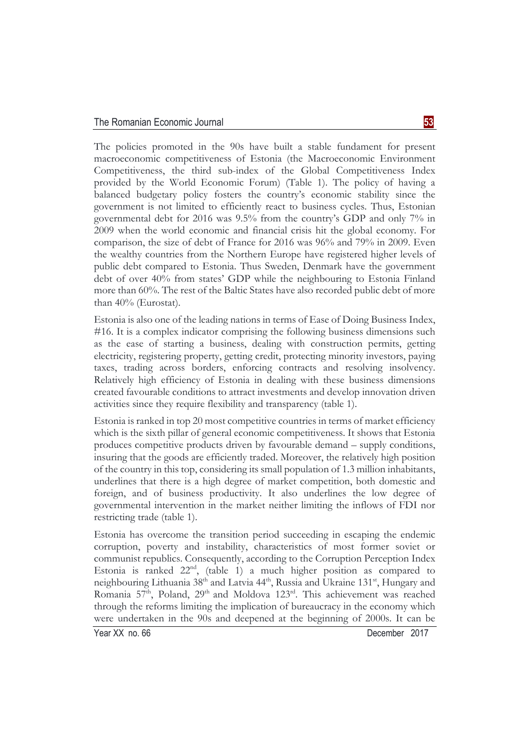The policies promoted in the 90s have built a stable fundament for present macroeconomic competitiveness of Estonia (the Macroeconomic Environment Competitiveness, the third sub-index of the Global Competitiveness Index provided by the World Economic Forum) (Table 1). The policy of having a balanced budgetary policy fosters the country's economic stability since the government is not limited to efficiently react to business cycles. Thus, Estonian governmental debt for 2016 was 9.5% from the country's GDP and only 7% in 2009 when the world economic and financial crisis hit the global economy. For comparison, the size of debt of France for 2016 was 96% and 79% in 2009. Even the wealthy countries from the Northern Europe have registered higher levels of public debt compared to Estonia. Thus Sweden, Denmark have the government debt of over 40% from states' GDP while the neighbouring to Estonia Finland more than 60%. The rest of the Baltic States have also recorded public debt of more than 40% (Eurostat).

Estonia is also one of the leading nations in terms of Ease of Doing Business Index, #16. It is a complex indicator comprising the following business dimensions such as the ease of starting a business, dealing with construction permits, getting electricity, registering property, getting credit, protecting minority investors, paying taxes, trading across borders, enforcing contracts and resolving insolvency. Relatively high efficiency of Estonia in dealing with these business dimensions created favourable conditions to attract investments and develop innovation driven activities since they require flexibility and transparency (table 1).

Estonia is ranked in top 20 most competitive countries in terms of market efficiency which is the sixth pillar of general economic competitiveness. It shows that Estonia produces competitive products driven by favourable demand – supply conditions, insuring that the goods are efficiently traded. Moreover, the relatively high position of the country in this top, considering its small population of 1.3 million inhabitants, underlines that there is a high degree of market competition, both domestic and foreign, and of business productivity. It also underlines the low degree of governmental intervention in the market neither limiting the inflows of FDI nor restricting trade (table 1).

Estonia has overcome the transition period succeeding in escaping the endemic corruption, poverty and instability, characteristics of most former soviet or communist republics. Consequently, according to the Corruption Perception Index Estonia is ranked 22nd, (table 1) a much higher position as compared to neighbouring Lithuania 38<sup>th</sup> and Latvia 44<sup>th</sup>, Russia and Ukraine 131<sup>st</sup>, Hungary and Romania 57<sup>th</sup>, Poland, 29<sup>th</sup> and Moldova 123<sup>rd</sup>. This achievement was reached through the reforms limiting the implication of bureaucracy in the economy which were undertaken in the 90s and deepened at the beginning of 2000s. It can be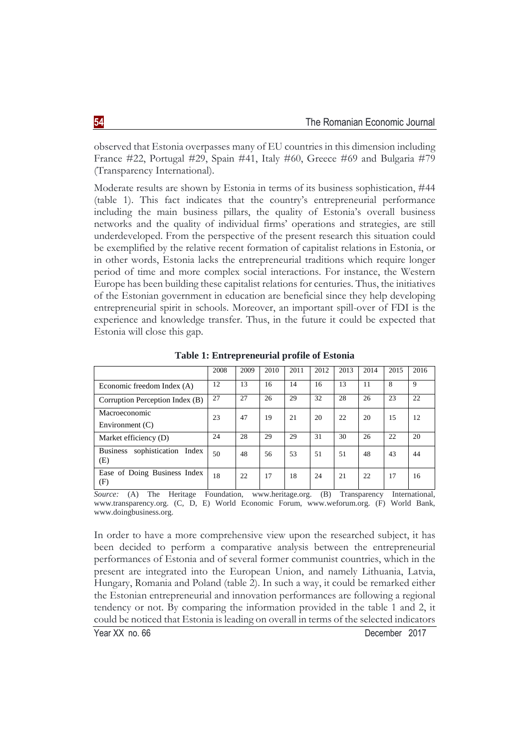observed that Estonia overpasses many of EU countries in this dimension including France #22, Portugal #29, Spain #41, Italy #60, Greece #69 and Bulgaria #79 (Transparency International).

Moderate results are shown by Estonia in terms of its business sophistication, #44 (table 1). This fact indicates that the country's entrepreneurial performance including the main business pillars, the quality of Estonia's overall business networks and the quality of individual firms' operations and strategies, are still underdeveloped. From the perspective of the present research this situation could be exemplified by the relative recent formation of capitalist relations in Estonia, or in other words, Estonia lacks the entrepreneurial traditions which require longer period of time and more complex social interactions. For instance, the Western Europe has been building these capitalist relations for centuries. Thus, the initiatives of the Estonian government in education are beneficial since they help developing entrepreneurial spirit in schools. Moreover, an important spill-over of FDI is the experience and knowledge transfer. Thus, in the future it could be expected that Estonia will close this gap.

|                                                   | 2008 | 2009 | 2010 | 2011 | 2012 | 2013 | 2014 | 2015 | 2016 |
|---------------------------------------------------|------|------|------|------|------|------|------|------|------|
| Economic freedom Index (A)                        | 12   | 13   | 16   | 14   | 16   | 13   | 11   | 8    | 9    |
| Corruption Perception Index (B)                   | 27   | 27   | 26   | 29   | 32   | 28   | 26   | 23   | 22   |
| Macroeconomic<br>23                               |      | 47   | 19   | 21   | 20   | 22   | 20   | 15   | 12   |
| Environment $(C)$                                 |      |      |      |      |      |      |      |      |      |
| Market efficiency (D)                             | 24   | 28   | 29   | 29   | 31   | 30   | 26   | 22   | 20   |
| sophistication<br><b>Business</b><br>Index<br>(E) | 50   | 48   | 56   | 53   | 51   | 51   | 48   | 43   | 44   |
| Ease of Doing Business Index<br>(F)               | 18   | 22   | 17   | 18   | 24   | 21   | 22   | 17   | 16   |

**Table 1: Entrepreneurial profile of Estonia** 

*Source:* (A) The Heritage Foundation, www.heritage.org. (B) Transparency International, www.transparency.org. (C, D, E) World Economic Forum, www.weforum.org. (F) World Bank, www.doingbusiness.org.

In order to have a more comprehensive view upon the researched subject, it has been decided to perform a comparative analysis between the entrepreneurial performances of Estonia and of several former communist countries, which in the present are integrated into the European Union, and namely Lithuania, Latvia, Hungary, Romania and Poland (table 2). In such a way, it could be remarked either the Estonian entrepreneurial and innovation performances are following a regional tendency or not. By comparing the information provided in the table 1 and 2, it could be noticed that Estonia is leading on overall in terms of the selected indicators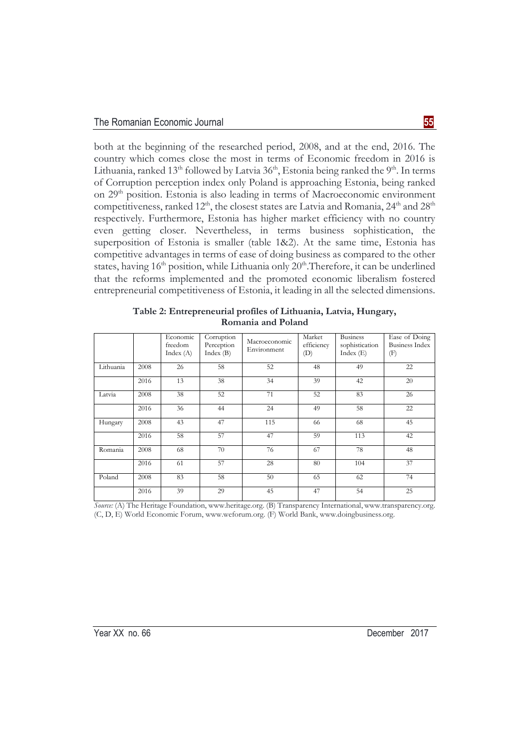both at the beginning of the researched period, 2008, and at the end, 2016. The country which comes close the most in terms of Economic freedom in 2016 is Lithuania, ranked 13<sup>th</sup> followed by Latvia  $36<sup>th</sup>$ , Estonia being ranked the 9<sup>th</sup>. In terms of Corruption perception index only Poland is approaching Estonia, being ranked on 29th position. Estonia is also leading in terms of Macroeconomic environment competitiveness, ranked 12<sup>th</sup>, the closest states are Latvia and Romania, 24<sup>th</sup> and 28<sup>th</sup> respectively. Furthermore, Estonia has higher market efficiency with no country even getting closer. Nevertheless, in terms business sophistication, the superposition of Estonia is smaller (table 1&2). At the same time, Estonia has competitive advantages in terms of ease of doing business as compared to the other states, having  $16<sup>th</sup>$  position, while Lithuania only  $20<sup>th</sup>$ . Therefore, it can be underlined that the reforms implemented and the promoted economic liberalism fostered entrepreneurial competitiveness of Estonia, it leading in all the selected dimensions.

|           |      | Economic<br>freedom<br>Index(A) | Corruption<br>Perception<br>Index(B) | Macroeconomic<br>Environment | Market<br>efficiency<br>(D) | <b>Business</b><br>sophistication<br>Index $(E)$ | Ease of Doing<br><b>Business Index</b><br>(F) |
|-----------|------|---------------------------------|--------------------------------------|------------------------------|-----------------------------|--------------------------------------------------|-----------------------------------------------|
| Lithuania | 2008 | 26                              | 58                                   | 52                           | 48                          | 49                                               | 22                                            |
|           | 2016 | 13                              | 38                                   | 34                           | 39                          | 42                                               | 20                                            |
| Latvia    | 2008 | 38                              | 52                                   | 71                           | 52                          | 83                                               | 26                                            |
|           | 2016 | 36                              | 44                                   | 24                           | 49                          | 58                                               | 22                                            |
| Hungary   | 2008 | 43                              | 47                                   | 115                          | 66                          | 68                                               | 45                                            |
|           | 2016 | 58                              | 57                                   | 47                           | 59                          | 113                                              | 42                                            |
| Romania   | 2008 | 68                              | 70                                   | 76                           | 67                          | 78                                               | 48                                            |
|           | 2016 | 61                              | 57                                   | 28                           | 80                          | 104                                              | 37                                            |
| Poland    | 2008 | 83                              | 58                                   | 50                           | 65                          | 62                                               | 74                                            |
|           | 2016 | 39                              | 29                                   | 45                           | 47                          | 54                                               | 25                                            |

**Table 2: Entrepreneurial profiles of Lithuania, Latvia, Hungary, Romania and Poland** 

*Source:* (A) The Heritage Foundation, www.heritage.org. (B) Transparency International, www.transparency.org. (C, D, E) World Economic Forum, www.weforum.org. (F) World Bank, www.doingbusiness.org.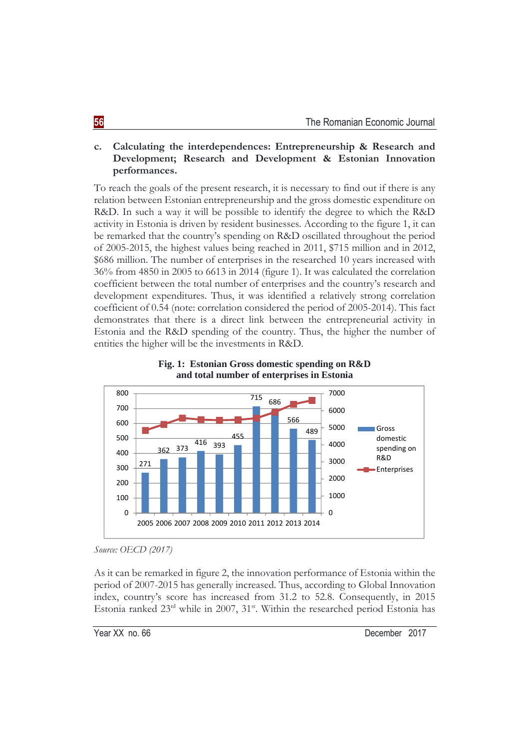# **c. Calculating the interdependences: Entrepreneurship & Research and Development; Research and Development & Estonian Innovation performances.**

To reach the goals of the present research, it is necessary to find out if there is any relation between Estonian entrepreneurship and the gross domestic expenditure on R&D. In such a way it will be possible to identify the degree to which the R&D activity in Estonia is driven by resident businesses. According to the figure 1, it can be remarked that the country's spending on R&D oscillated throughout the period of 2005-2015, the highest values being reached in 2011, \$715 million and in 2012, \$686 million. The number of enterprises in the researched 10 years increased with 36% from 4850 in 2005 to 6613 in 2014 (figure 1). It was calculated the correlation coefficient between the total number of enterprises and the country's research and development expenditures. Thus, it was identified a relatively strong correlation coefficient of 0.54 (note: correlation considered the period of 2005-2014). This fact demonstrates that there is a direct link between the entrepreneurial activity in Estonia and the R&D spending of the country. Thus, the higher the number of entities the higher will be the investments in R&D.





As it can be remarked in figure 2, the innovation performance of Estonia within the period of 2007-2015 has generally increased. Thus, according to Global Innovation index, country's score has increased from 31.2 to 52.8. Consequently, in 2015 Estonia ranked  $23<sup>rd</sup>$  while in 2007,  $31<sup>st</sup>$ . Within the researched period Estonia has

*Source: OECD (2017)*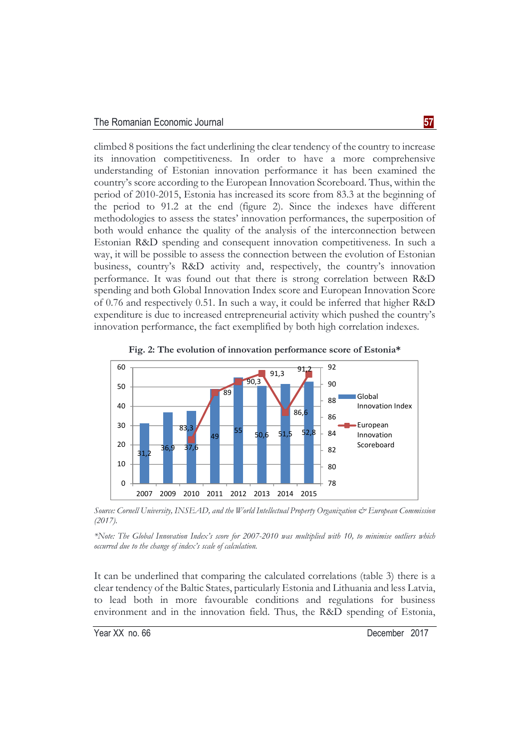climbed 8 positions the fact underlining the clear tendency of the country to increase its innovation competitiveness. In order to have a more comprehensive understanding of Estonian innovation performance it has been examined the country's score according to the European Innovation Scoreboard. Thus, within the period of 2010-2015, Estonia has increased its score from 83.3 at the beginning of the period to 91.2 at the end (figure 2). Since the indexes have different methodologies to assess the states' innovation performances, the superposition of both would enhance the quality of the analysis of the interconnection between Estonian R&D spending and consequent innovation competitiveness. In such a way, it will be possible to assess the connection between the evolution of Estonian business, country's R&D activity and, respectively, the country's innovation performance. It was found out that there is strong correlation between R&D spending and both Global Innovation Index score and European Innovation Score of 0.76 and respectively 0.51. In such a way, it could be inferred that higher R&D expenditure is due to increased entrepreneurial activity which pushed the country's innovation performance, the fact exemplified by both high correlation indexes.



**Fig. 2: The evolution of innovation performance score of Estonia\*** 

*Source: Cornell University, INSEAD, and the World Intellectual Property Organization & European Commission (2017).* 

*\*Note: The Global Innovation Index's score for 2007-2010 was multiplied with 10, to minimise outliers which occurred due to the change of index's scale of calculation.* 

It can be underlined that comparing the calculated correlations (table 3) there is a clear tendency of the Baltic States, particularly Estonia and Lithuania and less Latvia, to lead both in more favourable conditions and regulations for business environment and in the innovation field. Thus, the R&D spending of Estonia,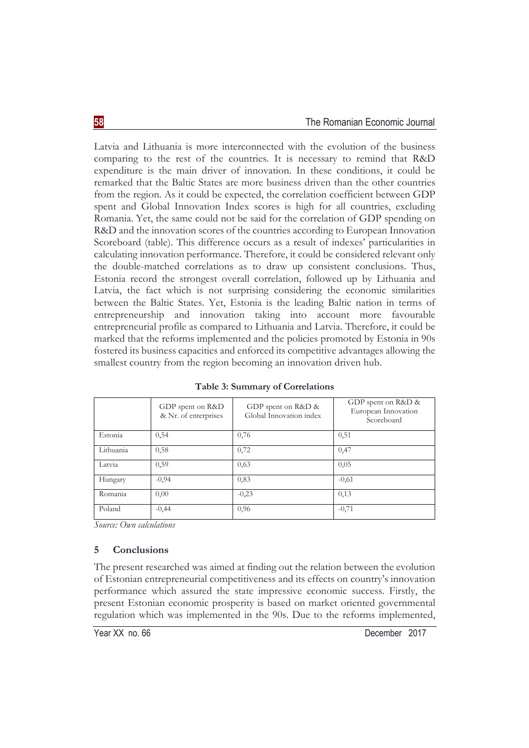Latvia and Lithuania is more interconnected with the evolution of the business comparing to the rest of the countries. It is necessary to remind that R&D expenditure is the main driver of innovation. In these conditions, it could be remarked that the Baltic States are more business driven than the other countries from the region. As it could be expected, the correlation coefficient between GDP spent and Global Innovation Index scores is high for all countries, excluding Romania. Yet, the same could not be said for the correlation of GDP spending on R&D and the innovation scores of the countries according to European Innovation Scoreboard (table). This difference occurs as a result of indexes' particularities in calculating innovation performance. Therefore, it could be considered relevant only the double-matched correlations as to draw up consistent conclusions. Thus, Estonia record the strongest overall correlation, followed up by Lithuania and Latvia, the fact which is not surprising considering the economic similarities between the Baltic States. Yet, Estonia is the leading Baltic nation in terms of entrepreneurship and innovation taking into account more favourable entrepreneurial profile as compared to Lithuania and Latvia. Therefore, it could be marked that the reforms implemented and the policies promoted by Estonia in 90s fostered its business capacities and enforced its competitive advantages allowing the smallest country from the region becoming an innovation driven hub.

|           | GDP spent on R&D<br>& Nr. of enterprises | GDP spent on R&D &<br>Global Innovation index | GDP spent on R&D &<br>European Innovation<br>Scoreboard |
|-----------|------------------------------------------|-----------------------------------------------|---------------------------------------------------------|
| Estonia   | 0,54                                     | 0,76                                          | 0,51                                                    |
| Lithuania | 0,58                                     | 0,72                                          | 0,47                                                    |
| Latvia    | 0,59                                     | 0,63                                          | 0,05                                                    |
| Hungary   | $-0,94$                                  | 0,83                                          | $-0,61$                                                 |
| Romania   | 0,00                                     | $-0,23$                                       | 0,13                                                    |
| Poland    | $-0,44$                                  | 0,96                                          | $-0,71$                                                 |

**Table 3: Summary of Correlations** 

*Source: Own calculations* 

### **5 Conclusions**

The present researched was aimed at finding out the relation between the evolution of Estonian entrepreneurial competitiveness and its effects on country's innovation performance which assured the state impressive economic success. Firstly, the present Estonian economic prosperity is based on market oriented governmental regulation which was implemented in the 90s. Due to the reforms implemented,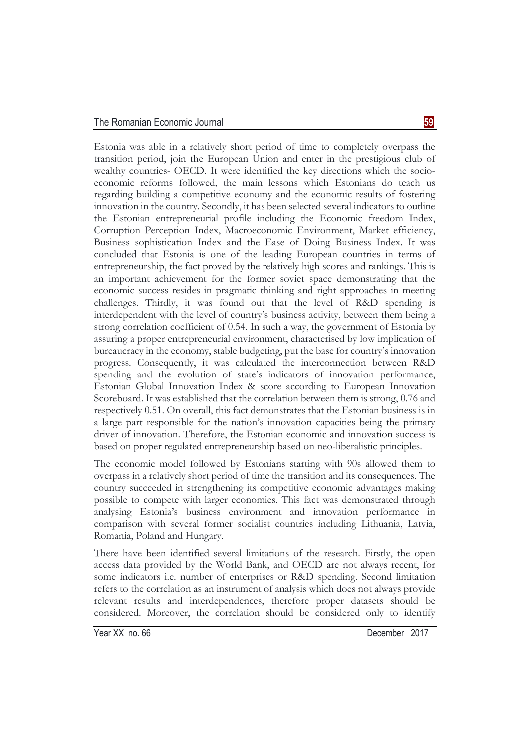#### The Romanian Economic Journal **59**

Estonia was able in a relatively short period of time to completely overpass the transition period, join the European Union and enter in the prestigious club of wealthy countries- OECD. It were identified the key directions which the socioeconomic reforms followed, the main lessons which Estonians do teach us regarding building a competitive economy and the economic results of fostering innovation in the country. Secondly, it has been selected several indicators to outline the Estonian entrepreneurial profile including the Economic freedom Index, Corruption Perception Index, Macroeconomic Environment, Market efficiency, Business sophistication Index and the Ease of Doing Business Index. It was concluded that Estonia is one of the leading European countries in terms of entrepreneurship, the fact proved by the relatively high scores and rankings. This is an important achievement for the former soviet space demonstrating that the economic success resides in pragmatic thinking and right approaches in meeting challenges. Thirdly, it was found out that the level of R&D spending is interdependent with the level of country's business activity, between them being a strong correlation coefficient of 0.54. In such a way, the government of Estonia by assuring a proper entrepreneurial environment, characterised by low implication of bureaucracy in the economy, stable budgeting, put the base for country's innovation progress. Consequently, it was calculated the interconnection between R&D spending and the evolution of state's indicators of innovation performance, Estonian Global Innovation Index & score according to European Innovation Scoreboard. It was established that the correlation between them is strong, 0.76 and respectively 0.51. On overall, this fact demonstrates that the Estonian business is in a large part responsible for the nation's innovation capacities being the primary driver of innovation. Therefore, the Estonian economic and innovation success is based on proper regulated entrepreneurship based on neo-liberalistic principles.

The economic model followed by Estonians starting with 90s allowed them to overpass in a relatively short period of time the transition and its consequences. The country succeeded in strengthening its competitive economic advantages making possible to compete with larger economies. This fact was demonstrated through analysing Estonia's business environment and innovation performance in comparison with several former socialist countries including Lithuania, Latvia, Romania, Poland and Hungary.

There have been identified several limitations of the research. Firstly, the open access data provided by the World Bank, and OECD are not always recent, for some indicators i.e. number of enterprises or R&D spending. Second limitation refers to the correlation as an instrument of analysis which does not always provide relevant results and interdependences, therefore proper datasets should be considered. Moreover, the correlation should be considered only to identify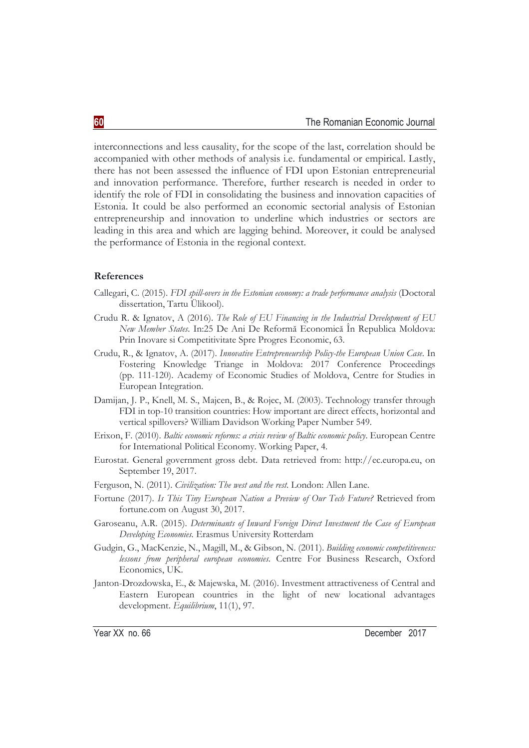interconnections and less causality, for the scope of the last, correlation should be accompanied with other methods of analysis i.e. fundamental or empirical. Lastly, there has not been assessed the influence of FDI upon Estonian entrepreneurial and innovation performance. Therefore, further research is needed in order to identify the role of FDI in consolidating the business and innovation capacities of Estonia. It could be also performed an economic sectorial analysis of Estonian entrepreneurship and innovation to underline which industries or sectors are leading in this area and which are lagging behind. Moreover, it could be analysed the performance of Estonia in the regional context.

#### **References**

- Callegari, C. (2015). *FDI spill-overs in the Estonian economy: a trade performance analysis* (Doctoral dissertation, Tartu Ülikool).
- Crudu R. & Ignatov, A (2016). *The Role of EU Financing in the Industrial Development of EU New Member States*. In:25 De Ani De Reformă Economică În Republica Moldova: Prin Inovare si Competitivitate Spre Progres Economic, 63.
- Crudu, R., & Ignatov, A. (2017). *Innovative Entrepreneurship Policy-the European Union Case*. In Fostering Knowledge Triange in Moldova: 2017 Conference Proceedings (pp. 111-120). Academy of Economic Studies of Moldova, Centre for Studies in European Integration.
- Damijan, J. P., Knell, M. S., Majcen, B., & Rojec, M. (2003). Technology transfer through FDI in top-10 transition countries: How important are direct effects, horizontal and vertical spillovers? William Davidson Working Paper Number 549.
- Erixon, F. (2010). *Baltic economic reforms: a crisis review of Baltic economic policy*. European Centre for International Political Economy. Working Paper, 4.
- Eurostat. General government gross debt. Data retrieved from: http://ec.europa.eu, on September 19, 2017.
- Ferguson, N. (2011). *Civilization: The west and the rest*. London: Allen Lane.
- Fortune (2017). *Is This Tiny European Nation a Preview of Our Tech Future?* Retrieved from fortune.com on August 30, 2017.
- Garoseanu, A.R. (2015). *Determinants of Inward Foreign Direct Investment the Case of European Developing Economies.* Erasmus University Rotterdam
- Gudgin, G., MacKenzie, N., Magill, M., & Gibson, N. (2011). *Building economic competitiveness: lessons from peripheral european economies.* Centre For Business Research, Oxford Economics, UK.
- Janton-Drozdowska, E., & Majewska, M. (2016). Investment attractiveness of Central and Eastern European countries in the light of new locational advantages development. *Equilibrium*, 11(1), 97.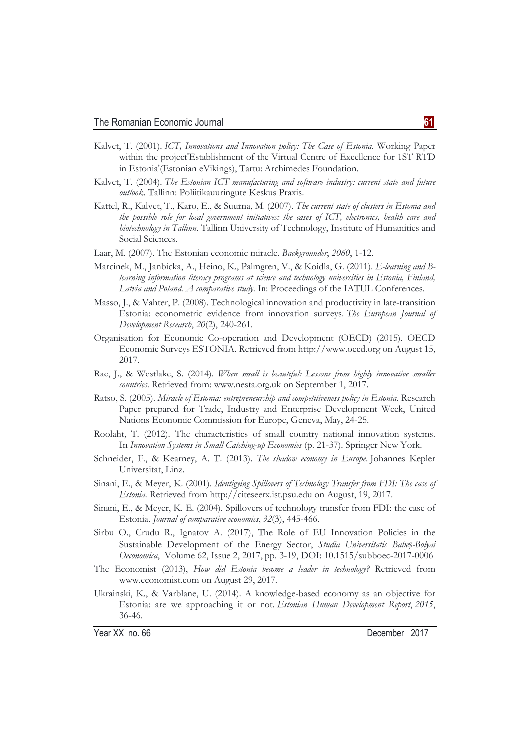- Kalvet, T. (2001). *ICT, Innovations and Innovation policy: The Case of Estonia*. Working Paper within the project'Establishment of the Virtual Centre of Excellence for 1ST RTD in Estonia'(Estonian eVikings), Tartu: Archimedes Foundation.
- Kalvet, T. (2004). *The Estonian ICT manufacturing and software industry: current state and future outlook*. Tallinn: Poliitikauuringute Keskus Praxis.
- Kattel, R., Kalvet, T., Karo, E., & Suurna, M. (2007). *The current state of clusters in Estonia and the possible role for local government initiatives: the cases of ICT, electronics, health care and biotechnology in Tallinn*. Tallinn University of Technology, Institute of Humanities and Social Sciences.
- Laar, M. (2007). The Estonian economic miracle. *Backgrounder*, *2060*, 1-12.
- Marcinek, M., Janbicka, A., Heino, K., Palmgren, V., & Koidla, G. (2011). *E-learning and Blearning information literacy programs at science and technology universities in Estonia, Finland, Latvia and Poland. A comparative study.* In: Proceedings of the IATUL Conferences.
- Masso, J., & Vahter, P. (2008). Technological innovation and productivity in late-transition Estonia: econometric evidence from innovation surveys. *The European Journal of Development Research*, *20*(2), 240-261.
- Organisation for Economic Co-operation and Development (OECD) (2015). OECD Economic Surveys ESTONIA. Retrieved from http://www.oecd.org on August 15, 2017.
- Rae, J., & Westlake, S. (2014). *When small is beautiful: Lessons from highly innovative smaller countries*. Retrieved from: www.nesta.org.uk on September 1, 2017.
- Ratso, S. (2005). *Miracle of Estonia: entrepreneurship and competitiveness policy in Estonia.* Research Paper prepared for Trade, Industry and Enterprise Development Week, United Nations Economic Commission for Europe, Geneva, May, 24-25.
- Roolaht, T. (2012). The characteristics of small country national innovation systems. In *Innovation Systems in Small Catching-up Economies* (p. 21-37). Springer New York.
- Schneider, F., & Kearney, A. T. (2013). *The shadow economy in Europe*. Johannes Kepler Universitat, Linz.
- Sinani, E., & Meyer, K. (2001). *Identigying Spillovers of Technology Transfer from FDI: The case of Estonia*. Retrieved from http://citeseerx.ist.psu.edu on August, 19, 2017.
- Sinani, E., & Meyer, K. E. (2004). Spillovers of technology transfer from FDI: the case of Estonia. *Journal of comparative economics*, *32*(3), 445-466.
- Sirbu O., Crudu R., Ignatov A. (2017), The Role of EU Innovation Policies in the Sustainable Development of the Energy Sector, *Studia Universitatis Babeș-Bolyai Oeconomica*, Volume 62, Issue 2, 2017, pp. 3-19, DOI: 10.1515/subboec-2017-0006
- The Economist (2013), *How did Estonia become a leader in technology?* Retrieved from www.economist.com on August 29, 2017.
- Ukrainski, K., & Varblane, U. (2014). A knowledge-based economy as an objective for Estonia: are we approaching it or not. *Estonian Human Development Report*, *2015*, 36-46.